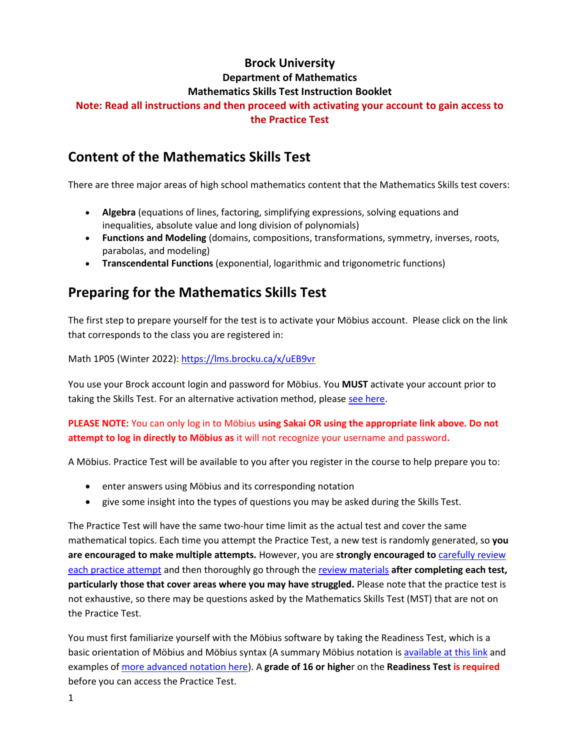### **Brock University**

#### **Department of Mathematics**

#### **Mathematics Skills Test Instruction Booklet**

#### **Note: Read all instructions and then proceed with activating your account to gain access to the Practice Test**

## **Content of the Mathematics Skills Test**

There are three major areas of high school mathematics content that the Mathematics Skills test covers:

- **Algebra** (equations of lines, factoring, simplifying expressions, solving equations and inequalities, absolute value and long division of polynomials)
- **Functions and Modeling** (domains, compositions, transformations, symmetry, inverses, roots, parabolas, and modeling)
- **Transcendental Functions** (exponential, logarithmic and trigonometric functions)

# **Preparing for the Mathematics Skills Test**

The first step to prepare yourself for the test is to activate your Möbius account. Please click on the link that corresponds to the class you are registered in:

Math 1P05 (Winter 2022): <https://lms.brocku.ca/x/uEB9vr>

You use your Brock account login and password for Möbius. You **MUST** activate your account prior to taking the Skills Test. For an alternative activation method, please [see here.](https://www.brocku.ca/mathematics-science/mathematics/wp-content/uploads/sites/107/Alternative-access-to-the-Mathematics-Skills-Test.pdf)

#### **PLEASE NOTE:** You can only log in to Möbius **using Sakai OR using the appropriate link above. Do not attempt to log in directly to Möbius as** it will not recognize your username and password**.**

A Möbius. Practice Test will be available to you after you register in the course to help prepare you to:

- enter answers using Möbius and its corresponding notation
- give some insight into the types of questions you may be asked during the Skills Test.

The Practice Test will have the same two-hour time limit as the actual test and cover the same mathematical topics. Each time you attempt the Practice Test, a new test is randomly generated, so **you are encouraged to make multiple attempts.** However, you are **strongly encouraged to** [carefully review](https://www.brocku.ca/mathematics-science/mathematics/wp-content/uploads/sites/107/Reviewing-Your-Practice-Test.pdf)  [each practice attempt](https://www.brocku.ca/mathematics-science/mathematics/wp-content/uploads/sites/107/Reviewing-Your-Practice-Test.pdf) and then thoroughly go through the [review materials](https://brocku.ca/mathematics-science/mathematics/mathematics-skills-resources/) **after completing each test, particularly those that cover areas where you may have struggled.** Please note that the practice test is not exhaustive, so there may be questions asked by the Mathematics Skills Test (MST) that are not on the Practice Test.

You must first familiarize yourself with the Möbius software by taking the Readiness Test, which is a basic orientation of Möbius and Möbius syntax (A summary Möbius notation i[s available at this link](https://brocku.ca/webfm_send/44403) and examples o[f more advanced notation here\)](https://www.brocku.ca/mathematics-science/mathematics/wp-content/uploads/sites/107/Examples-of-complicated-Maple-T.pdf). A **grade of 16 or highe**r on the **Readiness Test is required** before you can access the Practice Test.